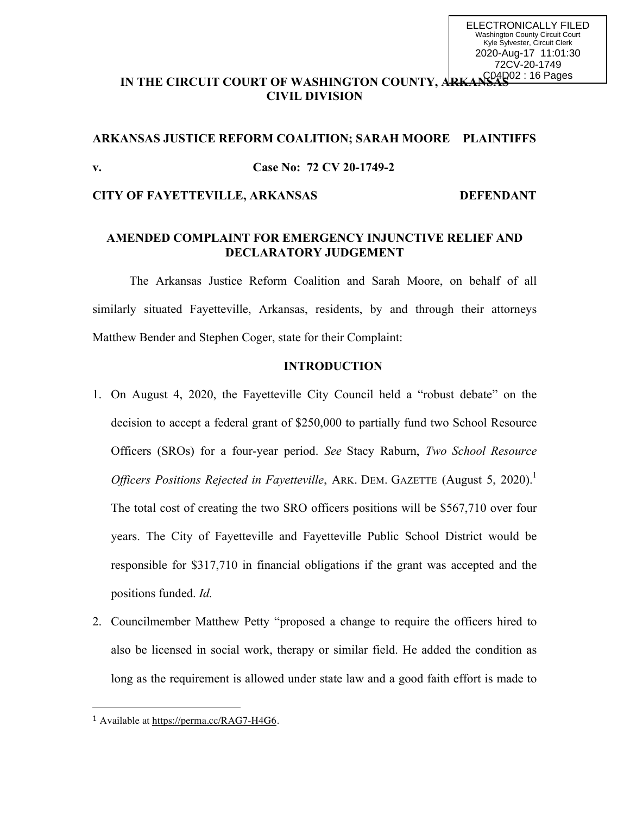# IN THE CIRCUIT COURT OF WASHINGTON COUNTY, ARKANSAS<sup>02 : 16 Pages</sup> **CIVIL DIVISION**

# **ARKANSAS JUSTICE REFORM COALITION; SARAH MOORE PLAINTIFFS v. Case No: 72 CV 20-1749-2**

#### **CITY OF FAYETTEVILLE, ARKANSAS DEFENDANT**

# **AMENDED COMPLAINT FOR EMERGENCY INJUNCTIVE RELIEF AND DECLARATORY JUDGEMENT**

The Arkansas Justice Reform Coalition and Sarah Moore, on behalf of all similarly situated Fayetteville, Arkansas, residents, by and through their attorneys Matthew Bender and Stephen Coger, state for their Complaint:

## **INTRODUCTION**

- 1. On August 4, 2020, the Fayetteville City Council held a "robust debate" on the decision to accept a federal grant of \$250,000 to partially fund two School Resource Officers (SROs) for a four-year period. *See* Stacy Raburn, *Two School Resource Officers Positions Rejected in Fayetteville, ARK. DEM. GAZETTE (August 5, 2020).*<sup>1</sup> The total cost of creating the two SRO officers positions will be \$567,710 over four years. The City of Fayetteville and Fayetteville Public School District would be responsible for \$317,710 in financial obligations if the grant was accepted and the positions funded. *Id.*
- 2. Councilmember Matthew Petty "proposed a change to require the officers hired to also be licensed in social work, therapy or similar field. He added the condition as long as the requirement is allowed under state law and a good faith effort is made to

<sup>1</sup> Available at https://perma.cc/RAG7-H4G6.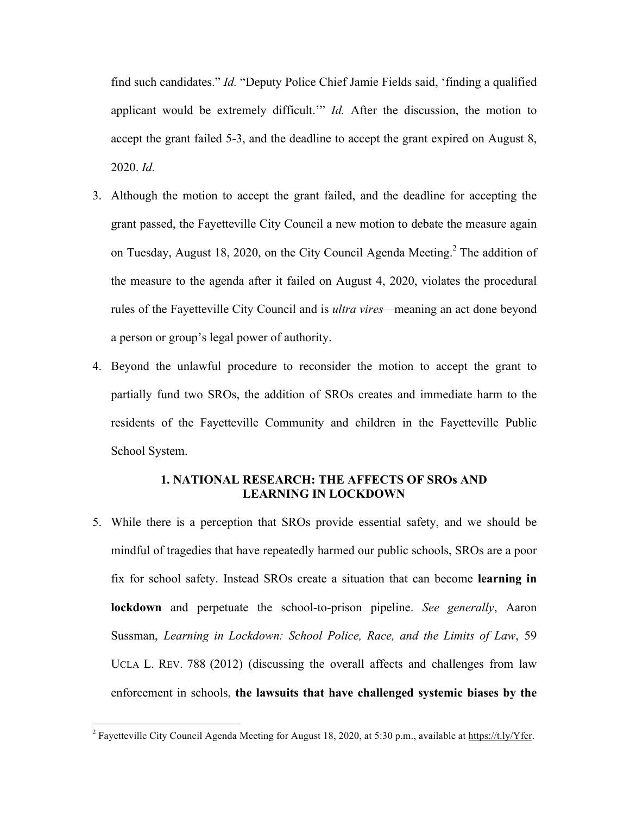find such candidates." *Id.* "Deputy Police Chief Jamie Fields said, 'finding a qualified applicant would be extremely difficult.'" *Id.* After the discussion, the motion to accept the grant failed 5-3, and the deadline to accept the grant expired on August 8, 2020. *Id.*

- 3. Although the motion to accept the grant failed, and the deadline for accepting the grant passed, the Fayetteville City Council a new motion to debate the measure again on Tuesday, August 18, 2020, on the City Council Agenda Meeting.<sup>2</sup> The addition of the measure to the agenda after it failed on August 4, 2020, violates the procedural rules of the Fayetteville City Council and is *ultra vires—*meaning an act done beyond a person or group's legal power of authority.
- 4. Beyond the unlawful procedure to reconsider the motion to accept the grant to partially fund two SROs, the addition of SROs creates and immediate harm to the residents of the Fayetteville Community and children in the Fayetteville Public School System.

# **1. NATIONAL RESEARCH: THE AFFECTS OF SROs AND LEARNING IN LOCKDOWN**

5. While there is a perception that SROs provide essential safety, and we should be mindful of tragedies that have repeatedly harmed our public schools, SROs are a poor fix for school safety. Instead SROs create a situation that can become **learning in lockdown** and perpetuate the school-to-prison pipeline. *See generally*, Aaron Sussman, *Learning in Lockdown: School Police, Race, and the Limits of Law*, 59 UCLA L. REV. 788 (2012) (discussing the overall affects and challenges from law enforcement in schools, **the lawsuits that have challenged systemic biases by the** 

<sup>&</sup>lt;sup>2</sup> Fayetteville City Council Agenda Meeting for August 18, 2020, at 5:30 p.m., available at https://t.ly/Yfer.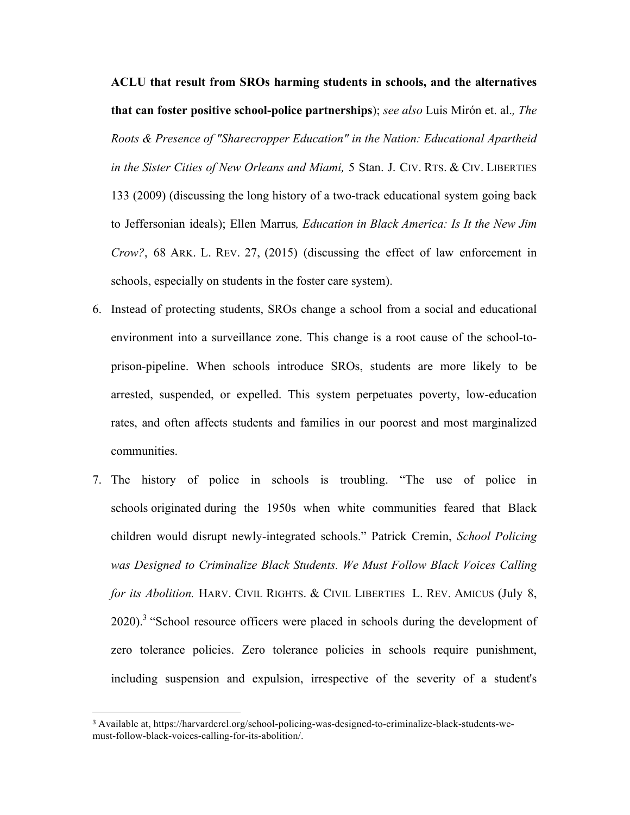**ACLU that result from SROs harming students in schools, and the alternatives that can foster positive school-police partnerships**); *see also* Luis Mirón et. al.*, The Roots & Presence of "Sharecropper Education" in the Nation: Educational Apartheid in the Sister Cities of New Orleans and Miami,* 5 Stan. J. CIV. RTS. & CIV. LIBERTIES 133 (2009) (discussing the long history of a two-track educational system going back to Jeffersonian ideals); Ellen Marrus*, Education in Black America: Is It the New Jim Crow?*, 68 ARK. L. REV. 27, (2015) (discussing the effect of law enforcement in schools, especially on students in the foster care system).

- 6. Instead of protecting students, SROs change a school from a social and educational environment into a surveillance zone. This change is a root cause of the school-toprison-pipeline. When schools introduce SROs, students are more likely to be arrested, suspended, or expelled. This system perpetuates poverty, low-education rates, and often affects students and families in our poorest and most marginalized communities.
- 7. The history of police in schools is troubling. "The use of police in schools originated during the 1950s when white communities feared that Black children would disrupt newly-integrated schools." Patrick Cremin, *School Policing was Designed to Criminalize Black Students. We Must Follow Black Voices Calling for its Abolition.* HARV. CIVIL RIGHTS. & CIVIL LIBERTIES L. REV. AMICUS (July 8, 2020).<sup>3</sup> "School resource officers were placed in schools during the development of zero tolerance policies. Zero tolerance policies in schools require punishment, including suspension and expulsion, irrespective of the severity of a student's

<sup>3</sup> Available at, https://harvardcrcl.org/school-policing-was-designed-to-criminalize-black-students-wemust-follow-black-voices-calling-for-its-abolition/.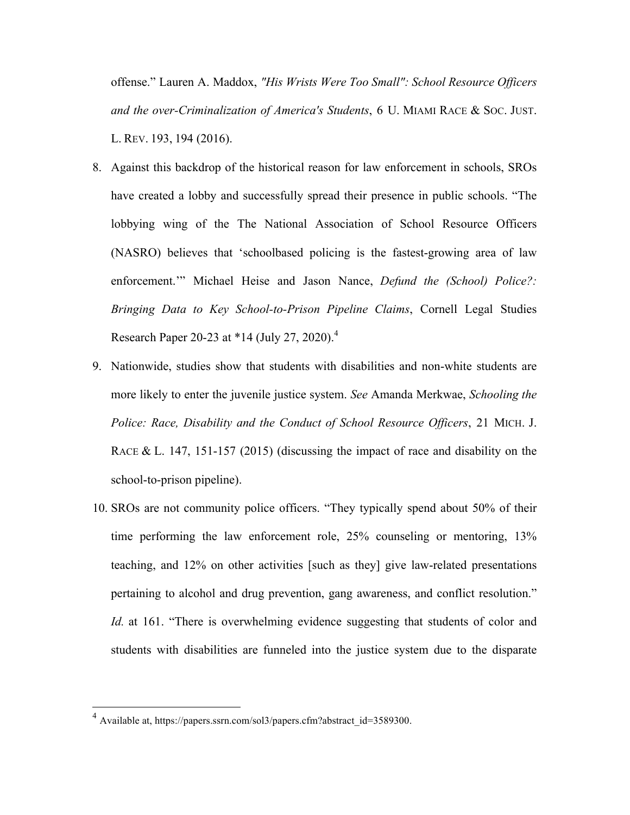offense." Lauren A. Maddox, *"His Wrists Were Too Small": School Resource Officers and the over-Criminalization of America's Students*, 6 U. MIAMI RACE & SOC. JUST. L. REV. 193, 194 (2016).

- 8. Against this backdrop of the historical reason for law enforcement in schools, SROs have created a lobby and successfully spread their presence in public schools. "The lobbying wing of the The National Association of School Resource Officers (NASRO) believes that 'schoolbased policing is the fastest-growing area of law enforcement.'" Michael Heise and Jason Nance, *Defund the (School) Police?: Bringing Data to Key School-to-Prison Pipeline Claims*, Cornell Legal Studies Research Paper 20-23 at \*14 (July 27, 2020).<sup>4</sup>
- 9. Nationwide, studies show that students with disabilities and non-white students are more likely to enter the juvenile justice system. *See* Amanda Merkwae, *Schooling the Police: Race, Disability and the Conduct of School Resource Officers*, 21 MICH. J. RACE & L. 147, 151-157 (2015) (discussing the impact of race and disability on the school-to-prison pipeline).
- 10. SROs are not community police officers. "They typically spend about 50% of their time performing the law enforcement role, 25% counseling or mentoring, 13% teaching, and 12% on other activities [such as they] give law-related presentations pertaining to alcohol and drug prevention, gang awareness, and conflict resolution." *Id.* at 161. "There is overwhelming evidence suggesting that students of color and students with disabilities are funneled into the justice system due to the disparate

 <sup>4</sup> Available at, https://papers.ssrn.com/sol3/papers.cfm?abstract\_id=3589300.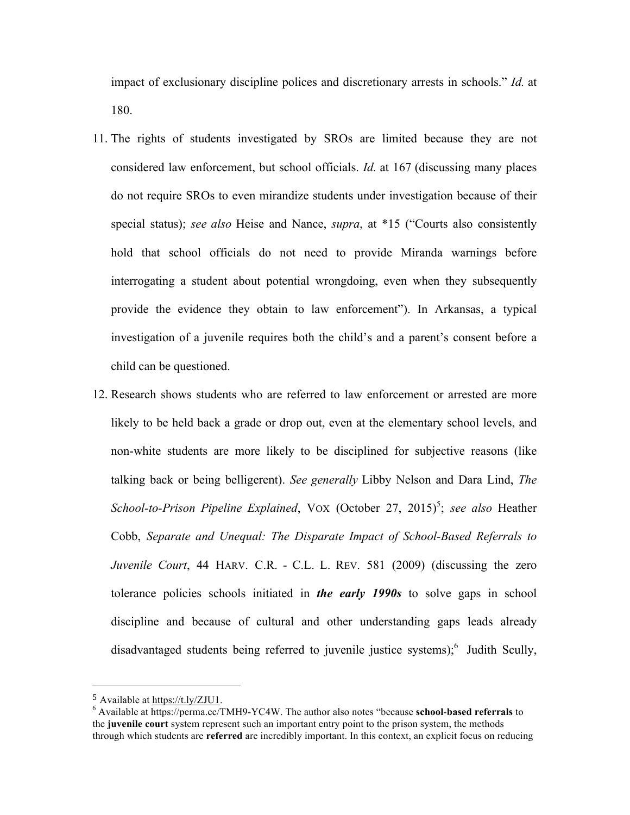impact of exclusionary discipline polices and discretionary arrests in schools." *Id.* at 180.

- 11. The rights of students investigated by SROs are limited because they are not considered law enforcement, but school officials. *Id.* at 167 (discussing many places do not require SROs to even mirandize students under investigation because of their special status); *see also* Heise and Nance, *supra*, at \*15 ("Courts also consistently hold that school officials do not need to provide Miranda warnings before interrogating a student about potential wrongdoing, even when they subsequently provide the evidence they obtain to law enforcement"). In Arkansas, a typical investigation of a juvenile requires both the child's and a parent's consent before a child can be questioned.
- 12. Research shows students who are referred to law enforcement or arrested are more likely to be held back a grade or drop out, even at the elementary school levels, and non-white students are more likely to be disciplined for subjective reasons (like talking back or being belligerent). *See generally* Libby Nelson and Dara Lind, *The*  School-to-Prison Pipeline Explained, VOX (October 27, 2015)<sup>5</sup>; see also Heather Cobb, *Separate and Unequal: The Disparate Impact of School-Based Referrals to Juvenile Court*, 44 HARV. C.R. - C.L. L. REV. 581 (2009) (discussing the zero tolerance policies schools initiated in *the early 1990s* to solve gaps in school discipline and because of cultural and other understanding gaps leads already disadvantaged students being referred to juvenile justice systems);<sup>6</sup> Judith Scully,

<sup>5</sup> Available at https://t.ly/ZJU1.

<sup>6</sup> Available at https://perma.cc/TMH9-YC4W. The author also notes "because **school**-**based referrals** to the **juvenile court** system represent such an important entry point to the prison system, the methods through which students are **referred** are incredibly important. In this context, an explicit focus on reducing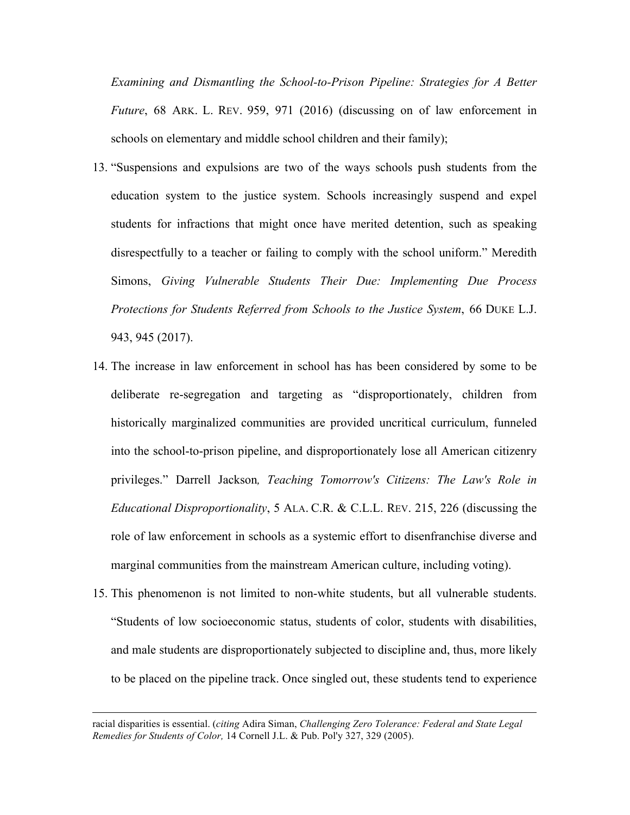*Examining and Dismantling the School-to-Prison Pipeline: Strategies for A Better Future*, 68 ARK. L. REV. 959, 971 (2016) (discussing on of law enforcement in schools on elementary and middle school children and their family);

- 13. "Suspensions and expulsions are two of the ways schools push students from the education system to the justice system. Schools increasingly suspend and expel students for infractions that might once have merited detention, such as speaking disrespectfully to a teacher or failing to comply with the school uniform." Meredith Simons, *Giving Vulnerable Students Their Due: Implementing Due Process Protections for Students Referred from Schools to the Justice System*, 66 DUKE L.J. 943, 945 (2017).
- 14. The increase in law enforcement in school has has been considered by some to be deliberate re-segregation and targeting as "disproportionately, children from historically marginalized communities are provided uncritical curriculum, funneled into the school-to-prison pipeline, and disproportionately lose all American citizenry privileges." Darrell Jackson*, Teaching Tomorrow's Citizens: The Law's Role in Educational Disproportionality*, 5 ALA. C.R. & C.L.L. REV. 215, 226 (discussing the role of law enforcement in schools as a systemic effort to disenfranchise diverse and marginal communities from the mainstream American culture, including voting).
- 15. This phenomenon is not limited to non-white students, but all vulnerable students. "Students of low socioeconomic status, students of color, students with disabilities, and male students are disproportionately subjected to discipline and, thus, more likely to be placed on the pipeline track. Once singled out, these students tend to experience

<u> 2002 - Andrea San Andrea San Andrea San Andrea San Andrea San Andrea San Andrea San Andrea San Andrea San An</u>

racial disparities is essential. (*citing* Adira Siman, *Challenging Zero Tolerance: Federal and State Legal Remedies for Students of Color,* 14 Cornell J.L. & Pub. Pol'y 327, 329 (2005).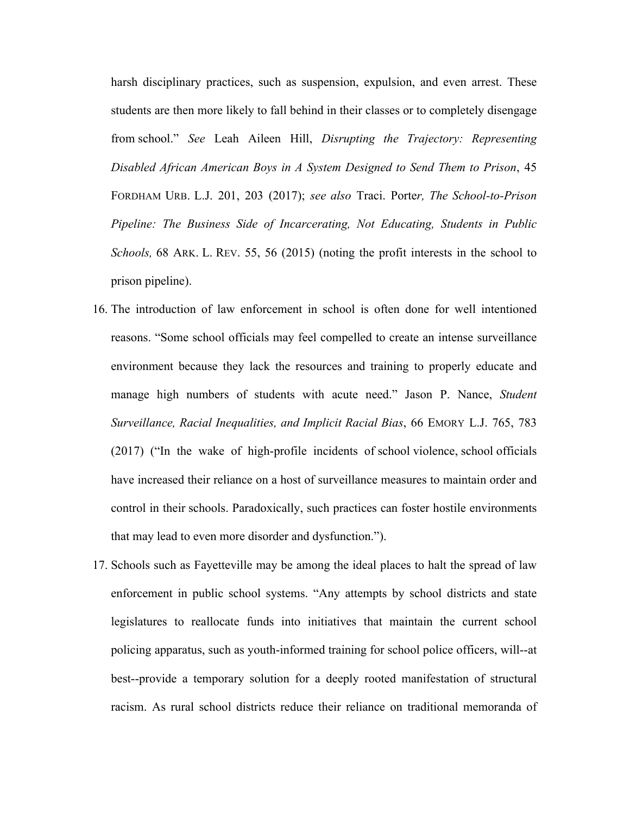harsh disciplinary practices, such as suspension, expulsion, and even arrest. These students are then more likely to fall behind in their classes or to completely disengage from school." *See* Leah Aileen Hill, *Disrupting the Trajectory: Representing Disabled African American Boys in A System Designed to Send Them to Prison*, 45 FORDHAM URB. L.J. 201, 203 (2017); *see also* Traci. Porte*r, The School-to-Prison Pipeline: The Business Side of Incarcerating, Not Educating, Students in Public Schools,* 68 ARK. L. REV. 55, 56 (2015) (noting the profit interests in the school to prison pipeline).

- 16. The introduction of law enforcement in school is often done for well intentioned reasons. "Some school officials may feel compelled to create an intense surveillance environment because they lack the resources and training to properly educate and manage high numbers of students with acute need." Jason P. Nance, *Student Surveillance, Racial Inequalities, and Implicit Racial Bias*, 66 EMORY L.J. 765, 783 (2017) ("In the wake of high-profile incidents of school violence, school officials have increased their reliance on a host of surveillance measures to maintain order and control in their schools. Paradoxically, such practices can foster hostile environments that may lead to even more disorder and dysfunction.").
- 17. Schools such as Fayetteville may be among the ideal places to halt the spread of law enforcement in public school systems. "Any attempts by school districts and state legislatures to reallocate funds into initiatives that maintain the current school policing apparatus, such as youth-informed training for school police officers, will--at best--provide a temporary solution for a deeply rooted manifestation of structural racism. As rural school districts reduce their reliance on traditional memoranda of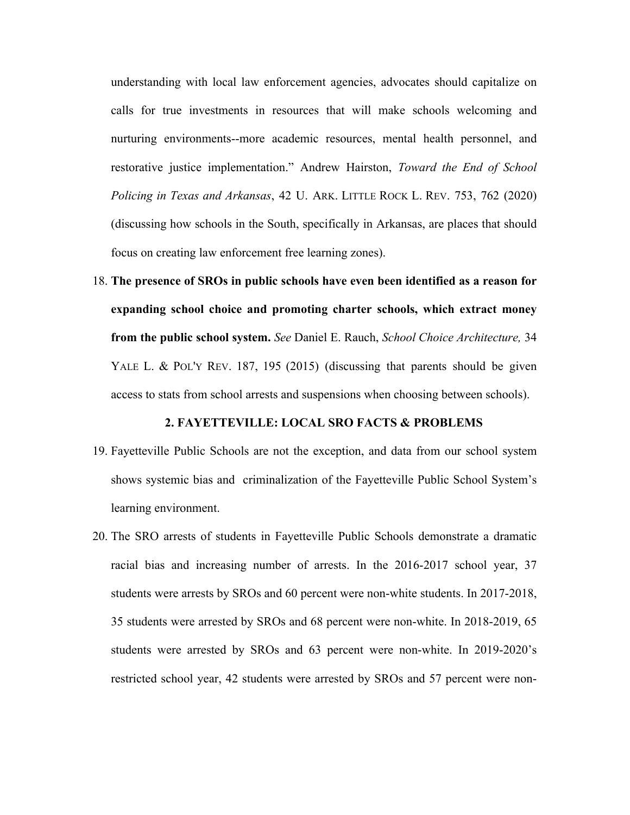understanding with local law enforcement agencies, advocates should capitalize on calls for true investments in resources that will make schools welcoming and nurturing environments--more academic resources, mental health personnel, and restorative justice implementation." Andrew Hairston, *Toward the End of School Policing in Texas and Arkansas*, 42 U. ARK. LITTLE ROCK L. REV. 753, 762 (2020) (discussing how schools in the South, specifically in Arkansas, are places that should focus on creating law enforcement free learning zones).

18. **The presence of SROs in public schools have even been identified as a reason for expanding school choice and promoting charter schools, which extract money from the public school system.** *See* Daniel E. Rauch, *School Choice Architecture,* 34 YALE L. & POL'Y REV. 187, 195 (2015) (discussing that parents should be given access to stats from school arrests and suspensions when choosing between schools).

#### **2. FAYETTEVILLE: LOCAL SRO FACTS & PROBLEMS**

- 19. Fayetteville Public Schools are not the exception, and data from our school system shows systemic bias and criminalization of the Fayetteville Public School System's learning environment.
- 20. The SRO arrests of students in Fayetteville Public Schools demonstrate a dramatic racial bias and increasing number of arrests. In the 2016-2017 school year, 37 students were arrests by SROs and 60 percent were non-white students. In 2017-2018, 35 students were arrested by SROs and 68 percent were non-white. In 2018-2019, 65 students were arrested by SROs and 63 percent were non-white. In 2019-2020's restricted school year, 42 students were arrested by SROs and 57 percent were non-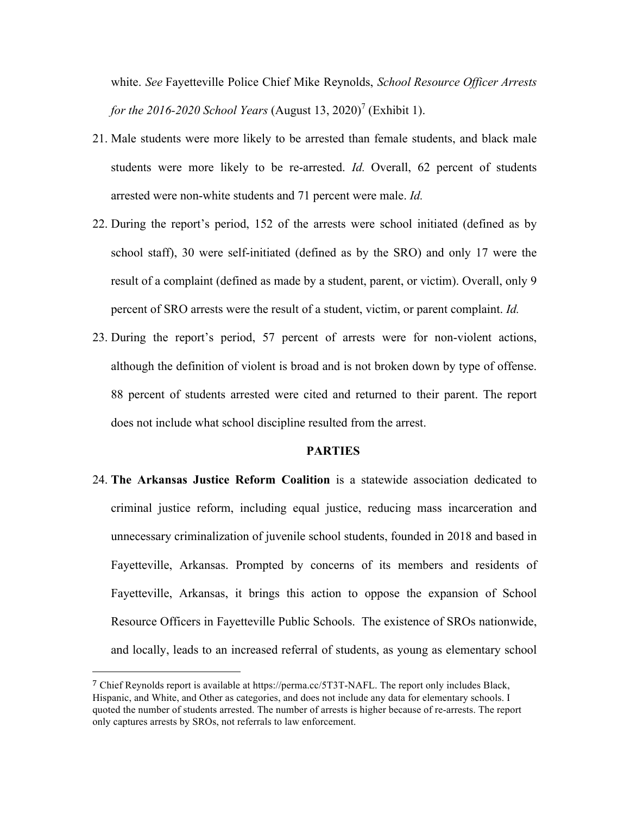white. *See* Fayetteville Police Chief Mike Reynolds, *School Resource Officer Arrests for the 2016-2020 School Years* (August 13, 2020)<sup>7</sup> (Exhibit 1).

- 21. Male students were more likely to be arrested than female students, and black male students were more likely to be re-arrested. *Id.* Overall, 62 percent of students arrested were non-white students and 71 percent were male. *Id.*
- 22. During the report's period, 152 of the arrests were school initiated (defined as by school staff), 30 were self-initiated (defined as by the SRO) and only 17 were the result of a complaint (defined as made by a student, parent, or victim). Overall, only 9 percent of SRO arrests were the result of a student, victim, or parent complaint. *Id.*
- 23. During the report's period, 57 percent of arrests were for non-violent actions, although the definition of violent is broad and is not broken down by type of offense. 88 percent of students arrested were cited and returned to their parent. The report does not include what school discipline resulted from the arrest.

#### **PARTIES**

24. **The Arkansas Justice Reform Coalition** is a statewide association dedicated to criminal justice reform, including equal justice, reducing mass incarceration and unnecessary criminalization of juvenile school students, founded in 2018 and based in Fayetteville, Arkansas. Prompted by concerns of its members and residents of Fayetteville, Arkansas, it brings this action to oppose the expansion of School Resource Officers in Fayetteville Public Schools. The existence of SROs nationwide, and locally, leads to an increased referral of students, as young as elementary school

<sup>7</sup> Chief Reynolds report is available at https://perma.cc/5T3T-NAFL. The report only includes Black, Hispanic, and White, and Other as categories, and does not include any data for elementary schools. I quoted the number of students arrested. The number of arrests is higher because of re-arrests. The report only captures arrests by SROs, not referrals to law enforcement.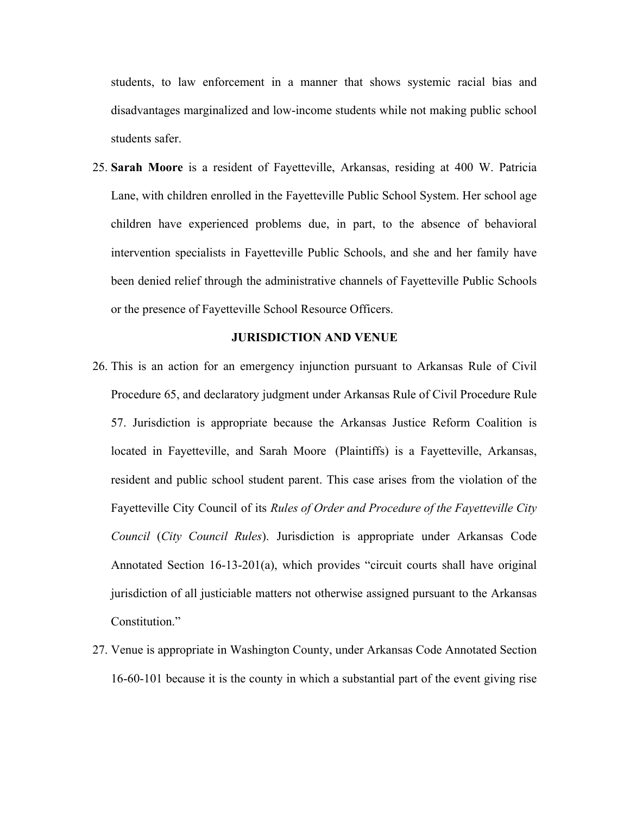students, to law enforcement in a manner that shows systemic racial bias and disadvantages marginalized and low-income students while not making public school students safer.

25. **Sarah Moore** is a resident of Fayetteville, Arkansas, residing at 400 W. Patricia Lane, with children enrolled in the Fayetteville Public School System. Her school age children have experienced problems due, in part, to the absence of behavioral intervention specialists in Fayetteville Public Schools, and she and her family have been denied relief through the administrative channels of Fayetteville Public Schools or the presence of Fayetteville School Resource Officers.

## **JURISDICTION AND VENUE**

- 26. This is an action for an emergency injunction pursuant to Arkansas Rule of Civil Procedure 65, and declaratory judgment under Arkansas Rule of Civil Procedure Rule 57. Jurisdiction is appropriate because the Arkansas Justice Reform Coalition is located in Fayetteville, and Sarah Moore (Plaintiffs) is a Fayetteville, Arkansas, resident and public school student parent. This case arises from the violation of the Fayetteville City Council of its *Rules of Order and Procedure of the Fayetteville City Council* (*City Council Rules*). Jurisdiction is appropriate under Arkansas Code Annotated Section 16-13-201(a), which provides "circuit courts shall have original jurisdiction of all justiciable matters not otherwise assigned pursuant to the Arkansas Constitution."
- 27. Venue is appropriate in Washington County, under Arkansas Code Annotated Section 16-60-101 because it is the county in which a substantial part of the event giving rise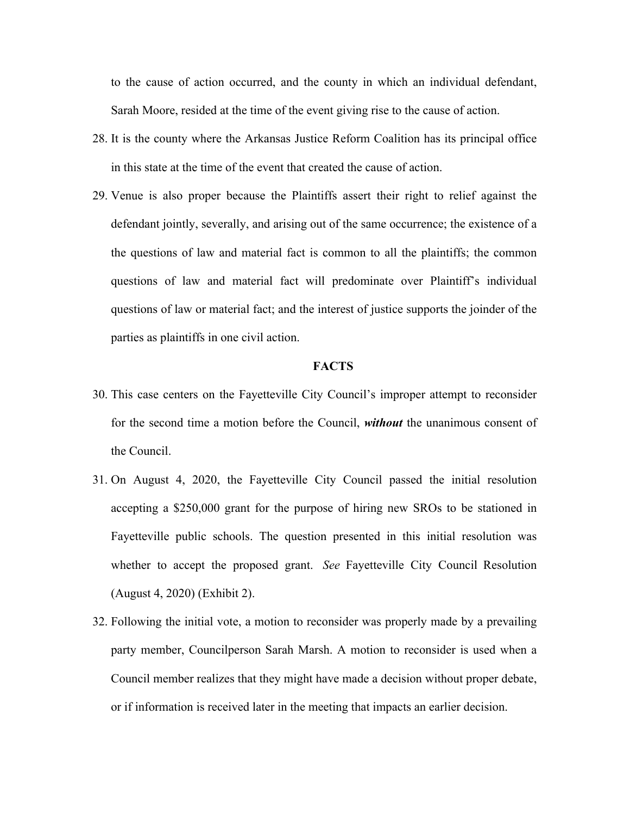to the cause of action occurred, and the county in which an individual defendant, Sarah Moore, resided at the time of the event giving rise to the cause of action.

- 28. It is the county where the Arkansas Justice Reform Coalition has its principal office in this state at the time of the event that created the cause of action.
- 29. Venue is also proper because the Plaintiffs assert their right to relief against the defendant jointly, severally, and arising out of the same occurrence; the existence of a the questions of law and material fact is common to all the plaintiffs; the common questions of law and material fact will predominate over Plaintiff's individual questions of law or material fact; and the interest of justice supports the joinder of the parties as plaintiffs in one civil action.

#### **FACTS**

- 30. This case centers on the Fayetteville City Council's improper attempt to reconsider for the second time a motion before the Council, *without* the unanimous consent of the Council.
- 31. On August 4, 2020, the Fayetteville City Council passed the initial resolution accepting a \$250,000 grant for the purpose of hiring new SROs to be stationed in Fayetteville public schools. The question presented in this initial resolution was whether to accept the proposed grant. *See* Fayetteville City Council Resolution (August 4, 2020) (Exhibit 2).
- 32. Following the initial vote, a motion to reconsider was properly made by a prevailing party member, Councilperson Sarah Marsh. A motion to reconsider is used when a Council member realizes that they might have made a decision without proper debate, or if information is received later in the meeting that impacts an earlier decision.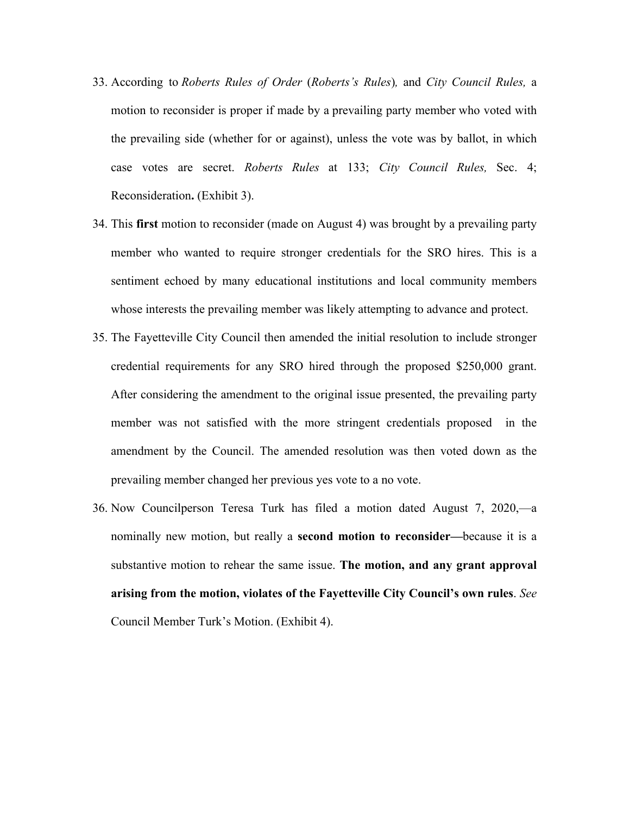- 33. According to *Roberts Rules of Order* (*Roberts's Rules*)*,* and *City Council Rules,* a motion to reconsider is proper if made by a prevailing party member who voted with the prevailing side (whether for or against), unless the vote was by ballot, in which case votes are secret. *Roberts Rules* at 133; *City Council Rules,* Sec. 4; Reconsideration**.** (Exhibit 3).
- 34. This **first** motion to reconsider (made on August 4) was brought by a prevailing party member who wanted to require stronger credentials for the SRO hires. This is a sentiment echoed by many educational institutions and local community members whose interests the prevailing member was likely attempting to advance and protect.
- 35. The Fayetteville City Council then amended the initial resolution to include stronger credential requirements for any SRO hired through the proposed \$250,000 grant. After considering the amendment to the original issue presented, the prevailing party member was not satisfied with the more stringent credentials proposed in the amendment by the Council. The amended resolution was then voted down as the prevailing member changed her previous yes vote to a no vote.
- 36. Now Councilperson Teresa Turk has filed a motion dated August 7, 2020,—a nominally new motion, but really a **second motion to reconsider—**because it is a substantive motion to rehear the same issue. **The motion, and any grant approval arising from the motion, violates of the Fayetteville City Council's own rules**. *See* Council Member Turk's Motion. (Exhibit 4).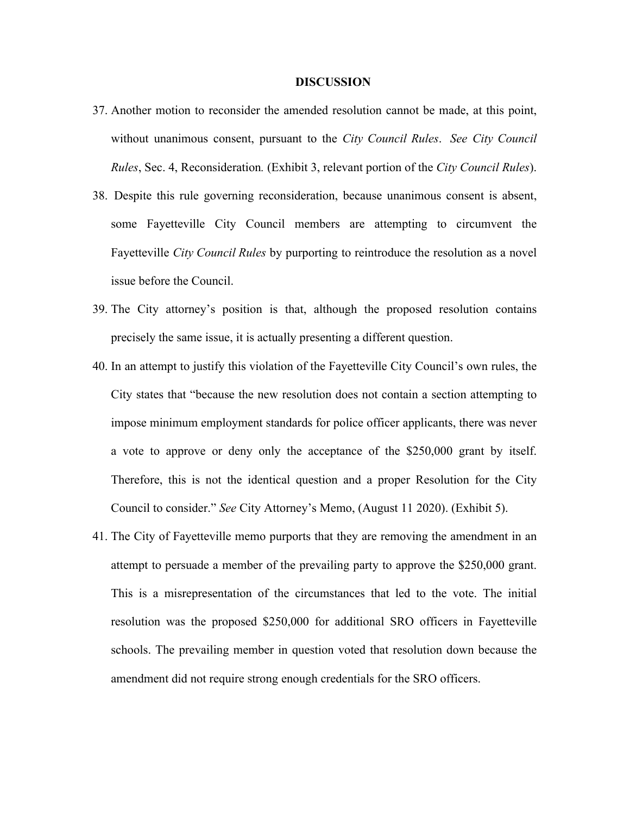#### **DISCUSSION**

- 37. Another motion to reconsider the amended resolution cannot be made, at this point, without unanimous consent, pursuant to the *City Council Rules*. *See City Council Rules*, Sec. 4, Reconsideration*.* (Exhibit 3, relevant portion of the *City Council Rules*).
- 38. Despite this rule governing reconsideration, because unanimous consent is absent, some Fayetteville City Council members are attempting to circumvent the Fayetteville *City Council Rules* by purporting to reintroduce the resolution as a novel issue before the Council.
- 39. The City attorney's position is that, although the proposed resolution contains precisely the same issue, it is actually presenting a different question.
- 40. In an attempt to justify this violation of the Fayetteville City Council's own rules, the City states that "because the new resolution does not contain a section attempting to impose minimum employment standards for police officer applicants, there was never a vote to approve or deny only the acceptance of the \$250,000 grant by itself. Therefore, this is not the identical question and a proper Resolution for the City Council to consider." *See* City Attorney's Memo, (August 11 2020). (Exhibit 5).
- 41. The City of Fayetteville memo purports that they are removing the amendment in an attempt to persuade a member of the prevailing party to approve the \$250,000 grant. This is a misrepresentation of the circumstances that led to the vote. The initial resolution was the proposed \$250,000 for additional SRO officers in Fayetteville schools. The prevailing member in question voted that resolution down because the amendment did not require strong enough credentials for the SRO officers.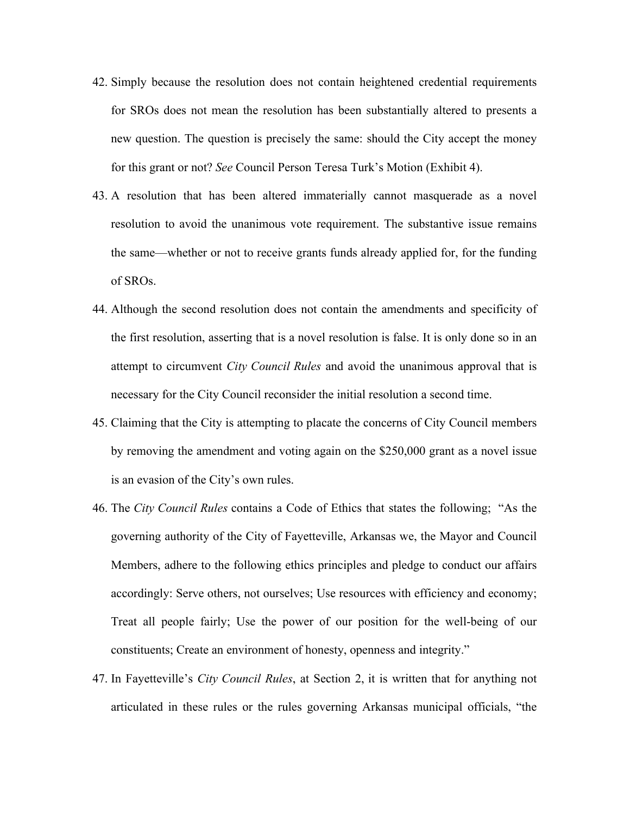- 42. Simply because the resolution does not contain heightened credential requirements for SROs does not mean the resolution has been substantially altered to presents a new question. The question is precisely the same: should the City accept the money for this grant or not? *See* Council Person Teresa Turk's Motion (Exhibit 4).
- 43. A resolution that has been altered immaterially cannot masquerade as a novel resolution to avoid the unanimous vote requirement. The substantive issue remains the same—whether or not to receive grants funds already applied for, for the funding of SROs.
- 44. Although the second resolution does not contain the amendments and specificity of the first resolution, asserting that is a novel resolution is false. It is only done so in an attempt to circumvent *City Council Rules* and avoid the unanimous approval that is necessary for the City Council reconsider the initial resolution a second time.
- 45. Claiming that the City is attempting to placate the concerns of City Council members by removing the amendment and voting again on the \$250,000 grant as a novel issue is an evasion of the City's own rules.
- 46. The *City Council Rules* contains a Code of Ethics that states the following; "As the governing authority of the City of Fayetteville, Arkansas we, the Mayor and Council Members, adhere to the following ethics principles and pledge to conduct our affairs accordingly: Serve others, not ourselves; Use resources with efficiency and economy; Treat all people fairly; Use the power of our position for the well-being of our constituents; Create an environment of honesty, openness and integrity."
- 47. In Fayetteville's *City Council Rules*, at Section 2, it is written that for anything not articulated in these rules or the rules governing Arkansas municipal officials, "the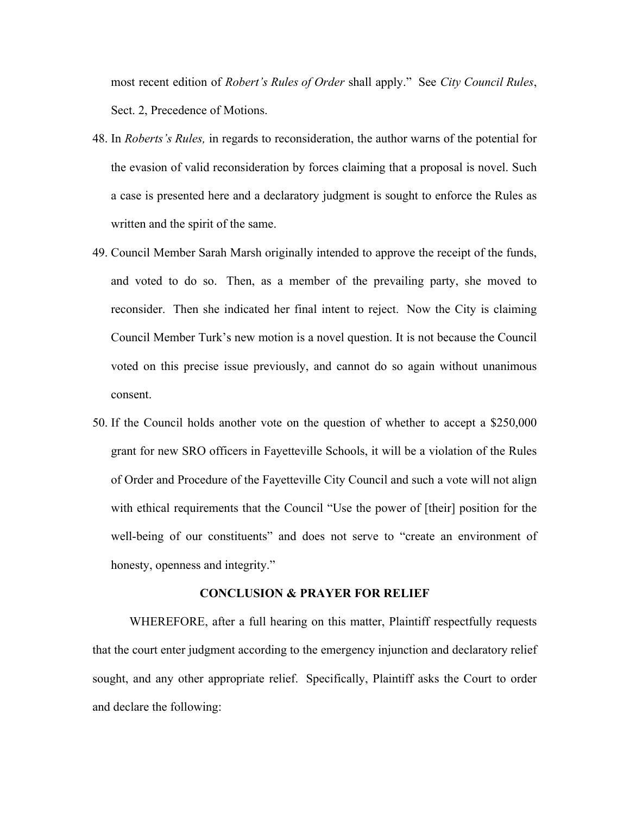most recent edition of *Robert's Rules of Order* shall apply." See *City Council Rules*, Sect. 2, Precedence of Motions.

- 48. In *Roberts's Rules,* in regards to reconsideration, the author warns of the potential for the evasion of valid reconsideration by forces claiming that a proposal is novel. Such a case is presented here and a declaratory judgment is sought to enforce the Rules as written and the spirit of the same.
- 49. Council Member Sarah Marsh originally intended to approve the receipt of the funds, and voted to do so. Then, as a member of the prevailing party, she moved to reconsider. Then she indicated her final intent to reject. Now the City is claiming Council Member Turk's new motion is a novel question. It is not because the Council voted on this precise issue previously, and cannot do so again without unanimous consent.
- 50. If the Council holds another vote on the question of whether to accept a \$250,000 grant for new SRO officers in Fayetteville Schools, it will be a violation of the Rules of Order and Procedure of the Fayetteville City Council and such a vote will not align with ethical requirements that the Council "Use the power of [their] position for the well-being of our constituents" and does not serve to "create an environment of honesty, openness and integrity."

#### **CONCLUSION & PRAYER FOR RELIEF**

WHEREFORE, after a full hearing on this matter, Plaintiff respectfully requests that the court enter judgment according to the emergency injunction and declaratory relief sought, and any other appropriate relief. Specifically, Plaintiff asks the Court to order and declare the following: